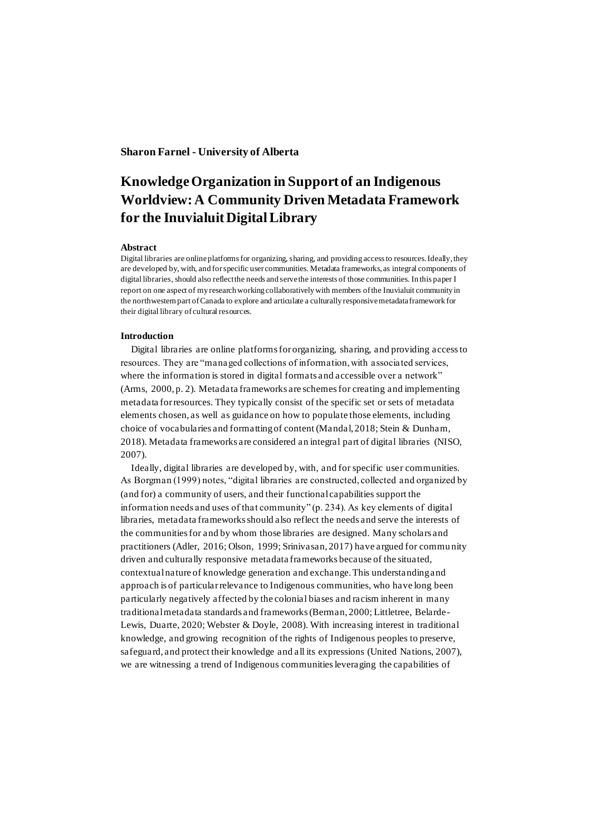# **Sharon Farnel - University of Alberta**

# **Knowledge Organization in Support of an Indigenous Worldview: A Community Driven Metadata Framework for the Inuvialuit Digital Library**

#### **Abstract**

Digital libraries are online platforms for organizing, sharing, and providing access to resources. Ideally, they are developed by, with, and for specific user communities. Metadata frameworks, as integral components of digital libraries, should also reflect the needs and serve the interests of those communities. In this paper I report on one aspect of my research working collaboratively with members of the Inuvialuit community in the northwestern part of Canada to explore and articulate a culturally responsive metadata framework for their digital library of cultural resources.

## **Introduction**

Digital libraries are online platforms for organizing, sharing, and providing access to resources. They are "managed collections of information, with associated services, where the information is stored in digital formats and accessible over a network" (Arms, 2000, p. 2). Metadata frameworks are schemes for creating and implementing metadata for resources. They typically consist of the specific set or sets of metadata elements chosen, as well as guidance on how to populate those elements, including choice of vocabularies and formatting of content (Mandal, 2018; Stein & Dunham, 2018). Metadata frameworks are considered an integral part of digital libraries (NISO, 2007).

Ideally, digital libraries are developed by, with, and for specific user communities. As Borgman (1999) notes, "digital libraries are constructed, collected and organized by (and for) a community of users, and their functional capabilities support the information needs and uses of that community" (p. 234). As key elements of digital libraries, metadata frameworks should also reflect the needs and serve the interests of the communities for and by whom those libraries are designed. Many scholars and practitioners (Adler, 2016; Olson, 1999; Srinivasan, 2017) have argued for commu nity driven and culturally responsive metadata frameworks because of the situated, contextual nature of knowledge generation and exchange. This understanding and approach is of particular relevance to Indigenous communities, who have long been particularly negatively affected by the colonial biases and racism inherent in many traditional metadata standards and frameworks (Berman, 2000; Littletree, Belarde-Lewis, Duarte, 2020; Webster & Doyle, 2008). With increasing interest in traditional knowledge, and growing recognition of the rights of Indigenous peoples to preserve, safeguard, and protect their knowledge and all its expressions (United Nations, 2007), we are witnessing a trend of Indigenous communities leveraging the capabilities of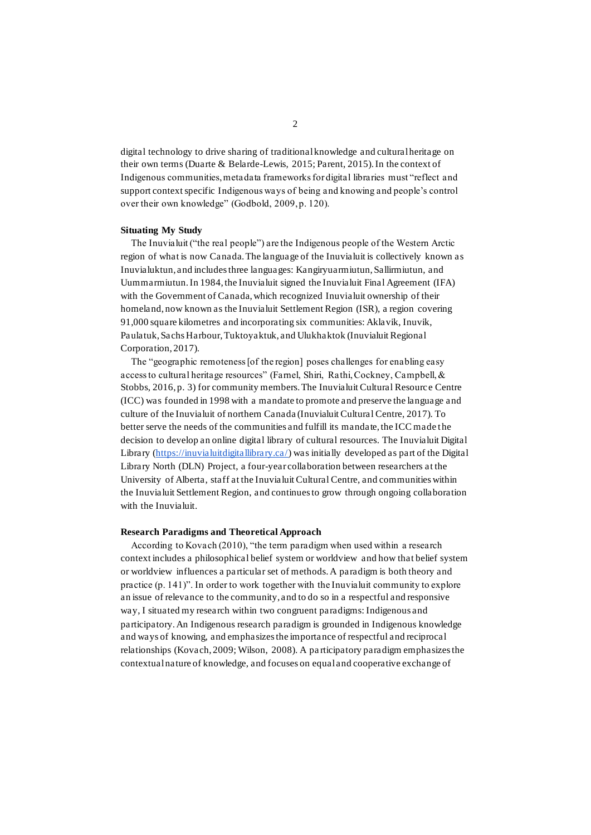digital technology to drive sharing of traditional knowledge and cultural heritage on their own terms (Duarte & Belarde-Lewis, 2015; Parent, 2015). In the context of Indigenous communities, metadata frameworks for digital libraries must "reflect and support context specific Indigenous ways of being and knowing and people's control over their own knowledge" (Godbold, 2009, p. 120).

#### **Situating My Study**

The Inuvialuit ("the real people") are the Indigenous people of the Western Arctic region of what is now Canada. The language of the Inuvialuit is collectively known as Inuvialuktun, and includes three languages: Kangiryuarmiutun, Sallirmiutun, and Uummarmiutun. In 1984, the Inuvialuit signed the Inuvialuit Final Agreement (IFA) with the Government of Canada, which recognized Inuvialuit ownership of their homeland, now known as the Inuvialuit Settlement Region (ISR), a region covering 91,000 square kilometres and incorporating six communities: Aklavik, Inuvik, Paulatuk, Sachs Harbour, Tuktoyaktuk, and Ulukhaktok (Inuvialuit Regional Corporation, 2017).

The "geographic remoteness [of the region] poses challenges for enabling easy access to cultural heritage resources" (Farnel, Shiri, Rathi, Cockney, Campbell, & Stobbs, 2016, p. 3) for community members. The Inuvialuit Cultural Resource Centre (ICC) was founded in 1998 with a mandate to promote and preserve the language and culture of the Inuvialuit of northern Canada (Inuvialuit Cultural Centre, 2017). To better serve the needs of the communities and fulfill its mandate, the ICC made the decision to develop an online digital library of cultural resources. The Inuvialuit Digital Library [\(https://inuvialuitdigitallibrary.ca/\)](https://inuvialuitdigitallibrary.ca/) was initially developed as part of the Digital Library North (DLN) Project, a four-year collaboration between researchers at the University of Alberta, staff at the Inuvialuit Cultural Centre, and communities within the Inuvialuit Settlement Region, and continues to grow through ongoing collaboration with the Inuvialuit.

#### **Research Paradigms and Theoretical Approach**

According to Kovach (2010), "the term paradigm when used within a research context includes a philosophical belief system or worldview and how that belief system or worldview influences a pa rticular set of methods. A paradigm is both theory and practice (p. 141)". In order to work together with the Inuvialuit community to explore an issue of relevance to the community, and to do so in a respectful and responsive way, I situated my research within two congruent paradigms: Indigenous and participatory. An Indigenous research paradigm is grounded in Indigenous knowledge and ways of knowing, and emphasizes the importance of respectful and reciprocal relationships (Kovach, 2009; Wilson, 2008). A pa rticipatory paradigm emphasizes the contextual nature of knowledge, and focuses on equal and cooperative exchange of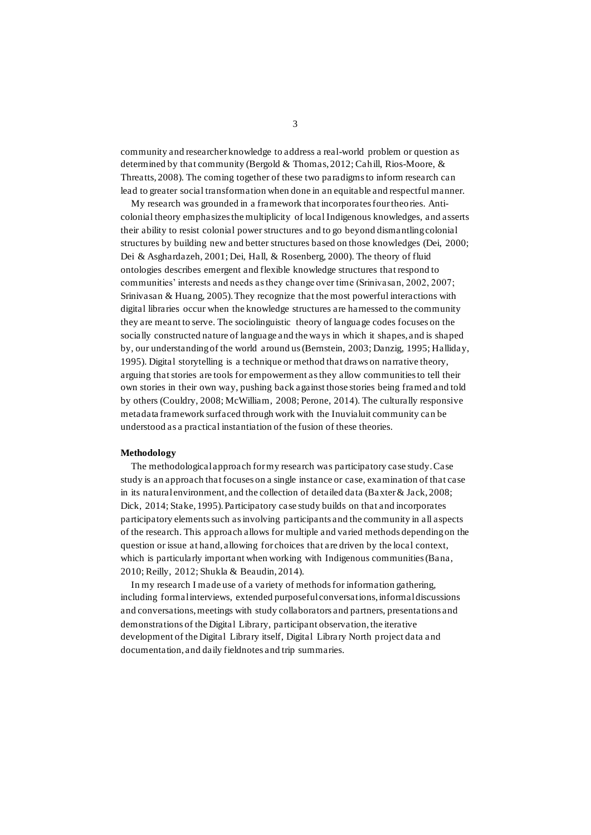community and researcher knowledge to address a real-world problem or question as determined by that community (Bergold & Thomas, 2012; Cahill, Rios-Moore, & Threatts, 2008). The coming together of these two paradigms to inform research can lead to greater social transformation when done in an equitable and respectful manner.

My research was grounded in a framework that incorporates four theories. Anticolonial theory emphasizes the multiplicity of local Indigenous knowledges, and asserts their ability to resist colonial power structures and to go beyond dismantling colonial structures by building new and better structures based on those knowledges (Dei, 2000; Dei & Asghardazeh, 2001; Dei, Hall, & Rosenberg, 2000). The theory of fluid ontologies describes emergent and flexible knowledge structures that respond to communities' interests and needs as they change over time (Srinivasan, 2002, 2007; Srinivasan & Huang, 2005). They recognize that the most powerful interactions with digital libraries occur when the knowledge structures are harnessed to the community they are meant to serve. The sociolinguistic theory of language codes focuses on the socially constructed nature of language and the ways in which it shapes, and is shaped by, our understanding of the world around us (Bernstein, 2003; Danzig, 1995; Halliday, 1995). Digital storytelling is a technique or method that draws on narrative theory, arguing that stories are tools for empowerment as they allow communities to tell their own stories in their own way, pushing back against those stories being framed and told by others (Couldry, 2008; McWilliam, 2008; Perone, 2014). The culturally responsive metadata framework surfaced through work with the Inuvialuit community can be understood as a practical instantiation of the fusion of these theories.

## **Methodology**

The methodological approach for my research was participatory case study. Case study is an approach that focuses on a single instance or case, examination of that case in its natural environment, and the collection of detailed data (Baxter & Jack, 2008; Dick, 2014; Stake, 1995). Participatory case study builds on that and incorporates participatory elements such as involving participants and the community in all aspects of the research. This approach allows for multiple and varied methods depending on the question or issue at hand, allowing for choices that are driven by the local context, which is particularly important when working with Indigenous communities (Bana, 2010; Reilly, 2012; Shukla & Beaudin, 2014).

In my research I made use of a variety of methods for information gathering, including formal interviews, extended purposeful conversations, informal discussions and conversations, meetings with study collaborators and partners, presentations and demonstrations of the Digital Library, participant observation, the iterative development of the Digital Library itself, Digital Library North project data and documentation, and daily fieldnotes and trip summaries.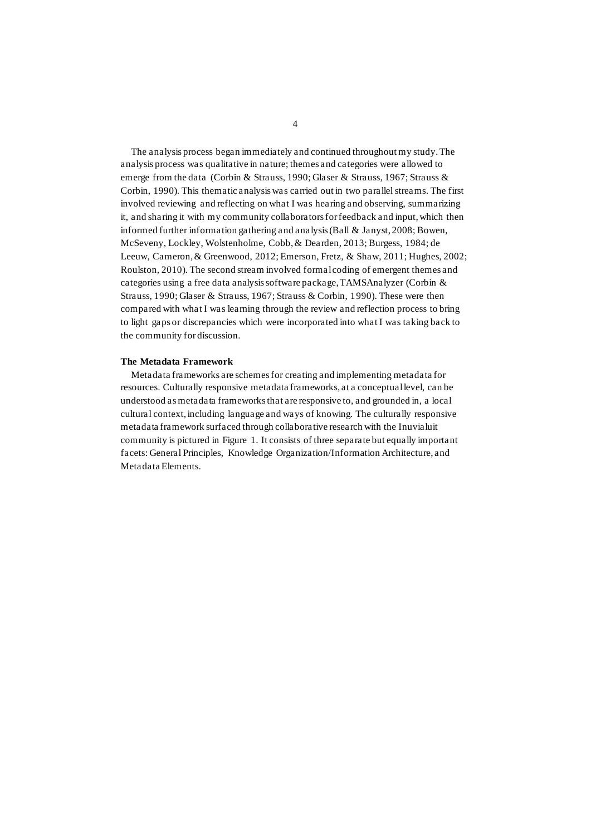The analysis process began immediately and continued throughout my study. The analysis process was qualitative in nature; themes and categories were allowed to emerge from the data (Corbin & Strauss, 1990; Glaser & Strauss, 1967; Strauss & Corbin, 1990). This thematic analysis was carried out in two parallel streams. The first involved reviewing and reflecting on what I was hearing and observing, summarizing it, and sharing it with my community collaborators for feedback and input, which then informed further information gathering and analysis (Ball & Janyst, 2008; Bowen, McSeveny, Lockley, Wolstenholme, Cobb, & Dearden, 2013; Burgess, 1984; de Leeuw, Cameron, & Greenwood, 2012; Emerson, Fretz, & Shaw, 2011; Hughes, 2002; Roulston, 2010). The second stream involved formal coding of emergent themes and categories using a free data analysis software package, TAMSAnalyzer (Corbin & Strauss, 1990; Glaser & Strauss, 1967; Strauss & Corbin, 1990). These were then compared with what I was learning through the review and reflection process to bring to light gaps or discrepancies which were incorporated into what I was taking back to the community for discussion.

#### **The Metadata Framework**

Metadata frameworks are schemes for creating and implementing metadata for resources. Culturally responsive metadata frameworks, at a conceptual level, can be understood as metadata frameworks that are responsive to, and grounded in, a local cultural context, including language and ways of knowing. The culturally responsive metadata framework surfaced through collaborative research with the Inuvialuit community is pictured in Figure 1. It consists of three separate but equally important facets: General Principles, Knowledge Organization/Information Architecture, and Metadata Elements.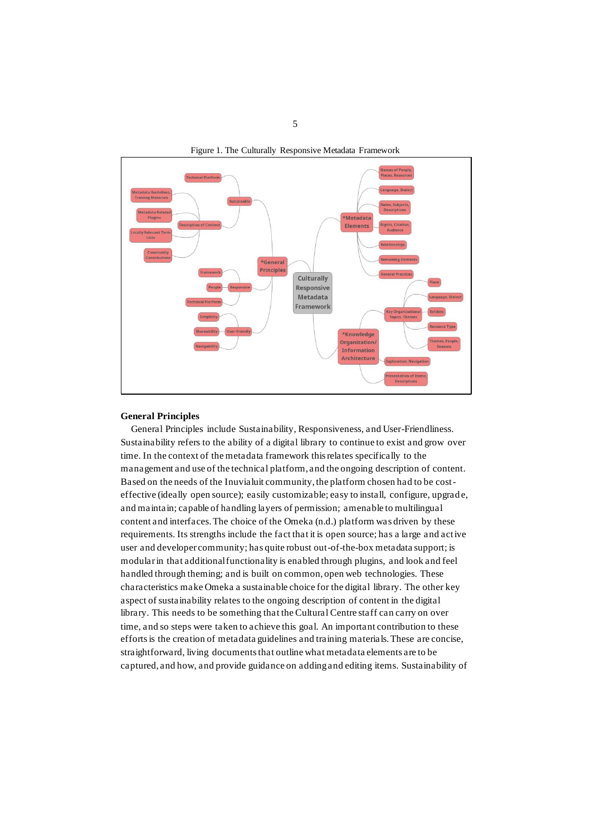



## **General Principles**

General Principles include Sustainability, Responsiveness, and User-Friendliness. Sustainability refers to the ability of a digital library to continue to exist and grow over time. In the context of the metadata framework this relates specifically to the management and use of the technical platform, and the ongoing description of content. Based on the needs of the Inuvialuit community, the platform chosen had to be costeffective (ideally open source); easily customizable; easy to install, configure, upgrad e, and maintain; capable of handling layers of permission; amenable to multilingual content and interfaces. The choice of the Omeka (n.d.) platform was driven by these requirements. Its strengths include the fact that it is open source; has a large and active user and developer community; has quite robust out-of-the-box metadata support; is modular in that additional functionality is enabled through plugins, and look and feel handled through theming; and is built on common, open web technologies. These characteristics make Omeka a sustainable choice for the digital library. The other key aspect of sustainability relates to the ongoing description of content in the digital library. This needs to be something that the Cultural Centre staff can carry on over time, and so steps were taken to achieve this goal. An important contribution to these efforts is the creation of metadata guidelines and training materials. These are concise, straightforward, living documents that outline what metadata elements are to be captured, and how, and provide guidance on adding and editing items. Sustainability of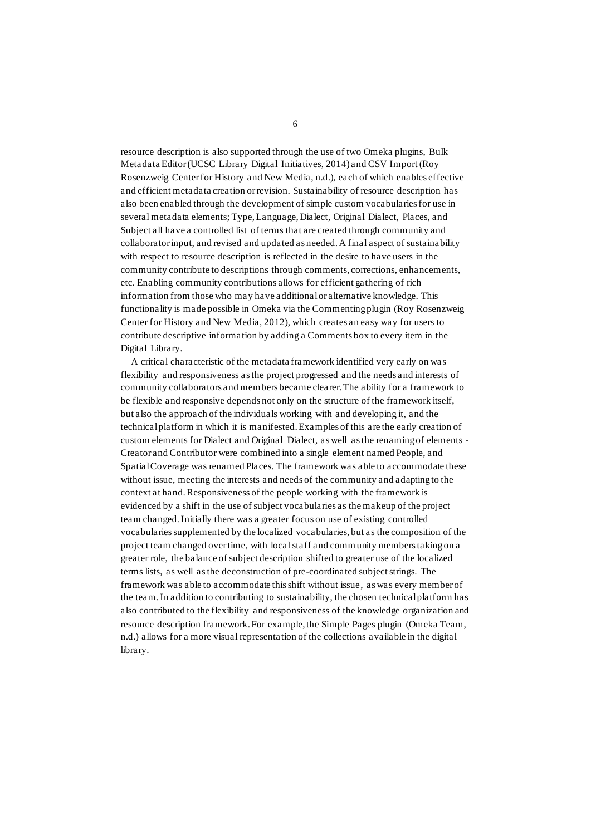resource description is also supported through the use of two Omeka plugins, Bulk Metadata Editor (UCSC Library Digital Initiatives, 2014) and CSV Import (Roy Rosenzweig Center for History and New Media, n.d.), each of which enables effective and efficient metadata creation or revision. Sustainability of resource description has also been enabled through the development of simple custom vocabularies for use in several metadata elements; Type, Language, Dialect, Original Dialect, Places, and Subject all have a controlled list of terms that are created through community and collaborator input, and revised and updated as needed. A final aspect of sustainability with respect to resource description is reflected in the desire to have users in the community contribute to descriptions through comments, corrections, enhancements, etc. Enabling community contributions allows for efficient gathering of rich information from those who may have additional or alternative knowledge. This functionality is made possible in Omeka via the Commenting plugin (Roy Rosenzweig Center for History and New Media, 2012), which creates an easy way for users to contribute descriptive information by adding a Comments box to every item in the Digital Library.

A critical characteristic of the metadata framework identified very early on was flexibility and responsiveness as the project progressed and the needs and interests of community collaborators and members became clearer. The ability for a framework to be flexible and responsive depends not only on the structure of the framework itself, but also the approach of the individuals working with and developing it, and the technical platform in which it is manifested. Examples of this are the early creation of custom elements for Dialect and Original Dialect, as well as the renaming of elements - Creator and Contributor were combined into a single element named People, and Spatial Coverage was renamed Places. The framework was able to accommodate these without issue, meeting the interests and needs of the community and adapting to the context at hand. Responsiveness of the people working with the framework is evidenced by a shift in the use of subject vocabularies as the makeup of the project team changed. Initially there was a greater focus on use of existing controlled vocabularies supplemented by the localized vocabularies, but as the composition of the project team changed over time, with local staff and community members taking on a greater role, the balance of subject description shifted to greater use of the localized terms lists, as well as the deconstruction of pre-coordinated subject strings. The framework was able to accommodate this shift without issue, as was every member of the team. In addition to contributing to sustainability, the chosen technical platform has also contributed to the flexibility and responsiveness of the knowledge organization and resource description framework. For example, the Simple Pages plugin (Omeka Team, n.d.) allows for a more visual representation of the collections available in the digital library.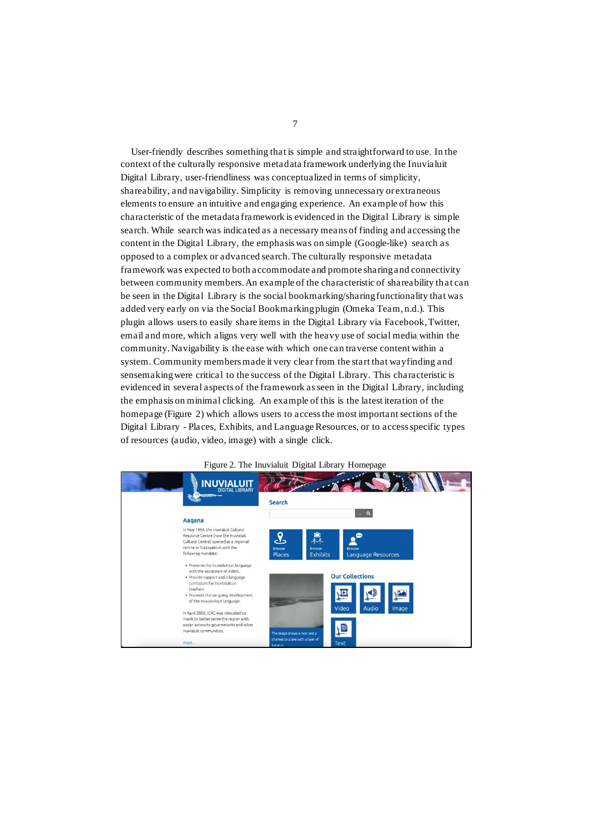User-friendly describes something that is simple and straightforward to use. In the context of the culturally responsive metadata framework underlying the Inuvialuit Digital Library, user-friendliness was conceptualized in terms of simplicity, shareability, and navigability. Simplicity is removing unnecessary or extraneous elements to ensure an intuitive and engaging experience. An example of how this characteristic of the metadata framework is evidenced in the Digital Library is simple search. While search was indicated as a necessary means of finding and accessing the content in the Digital Library, the emphasis was on simple (Google-like) search as opposed to a complex or advanced search. The culturally responsive metadata framework was expected to both accommodate and promote sharing and connectivity between community members. An example of the characteristic of shareability th at can be seen in the Digital Library is the social bookmarking/sharing functionality that was added very early on via the Social Bookmarking plugin (Omeka Team, n.d.). This plugin allows users to easily share items in the Digital Library via Facebook, Twitter, email and more, which aligns very well with the heavy use of social media within the community. Navigability is the ease with which one can traverse content within a system. Community members made it very clear from the start that wayfinding and sensemaking were critical to the success of the Digital Library. This characteristic is evidenced in several aspects of the framework as seen in the Digital Library, including the emphasis on minimal clicking. An example of this is the latest iteration of the homepage (Figure 2) which allows users to access the most important sections of the Digital Library - Places, Exhibits, and Language Resources, or to access specific types of resources (audio, video, image) with a single click.



## Figure 2. The Inuvialuit Digital Library Homepage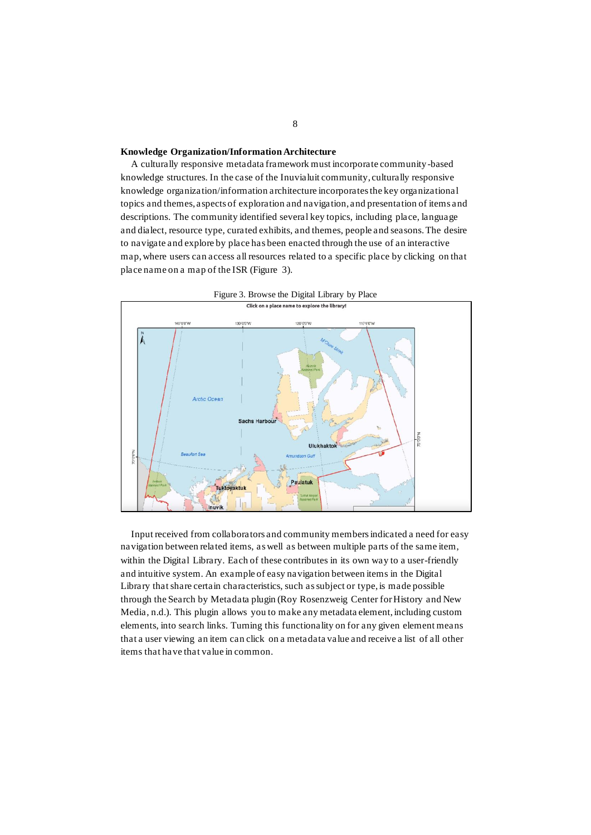# **Knowledge Organization/Information Architecture**

A culturally responsive metadata framework must incorporate community-based knowledge structures. In the case of the Inuvialuit community, culturally responsive knowledge organization/information architecture incorporates the key organizational topics and themes, aspects of exploration and navigation, and presentation of items and descriptions. The community identified several key topics, including place, language and dialect, resource type, curated exhibits, and themes, people and seasons. The desire to navigate and explore by place has been enacted through the use of an interactive map, where users can access all resources related to a specific place by clicking on that place name on a map of the ISR (Figure 3).



Figure 3. Browse the Digital Library by Place

Input received from collaborators and community members indicated a need for easy navigation between related items, as well as between multiple parts of the same item, within the Digital Library. Each of these contributes in its own way to a user-friendly and intuitive system. An example of easy navigation between items in the Digital Library that share certain characteristics, such as subject or type, is made possible through the Search by Metadata plugin (Roy Rosenzweig Center for History and New Media, n.d.). This plugin allows you to make any metadata element, including custom elements, into search links. Turning this functionality on for any given element means that a user viewing an item can click on a metadata value and receive a list of all other items that have that value in common.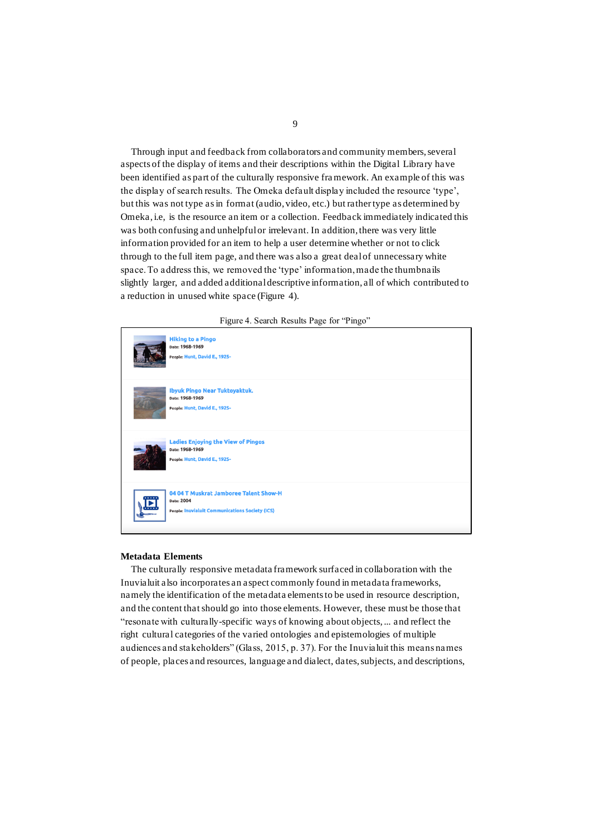Through input and feedback from collaborators and community members, several aspects of the display of items and their descriptions within the Digital Library have been identified as part of the culturally responsive framework. An example of this was the display of search results. The Omeka default display included the resource 'type', but this was not type as in format (audio, video, etc.) but rather type as determined by Omeka, i.e, is the resource an item or a collection. Feedback immediately indicated this was both confusing and unhelpful or irrelevant. In addition, there was very little information provided for an item to help a user determine whether or not to click through to the full item page, and there was also a great deal of unnecessary white space. To address this, we removed the 'type' information, made the thumbnails slightly larger, and added additional descriptive information, all of which contributed to a reduction in unused white space (Figure 4).





#### **Metadata Elements**

The culturally responsive metadata framework surfaced in collaboration with the Inuvialuit also incorporates an aspect commonly found in metadata frameworks, namely the identification of the metadata elements to be used in resource description, and the content that should go into those elements. However, these must be those that "resonate with culturally-specific ways of knowing about objects, ... and reflect the right cultural categories of the varied ontologies and epistemologies of multiple audiences and stakeholders" (Glass, 2015, p. 37). For the Inuvialuit this means names of people, places and resources, language and dialect, dates, subjects, and descriptions,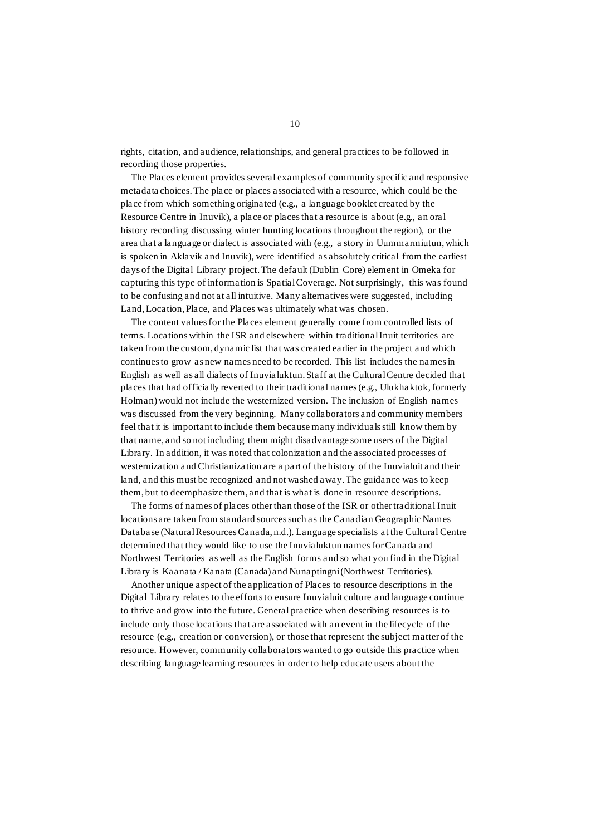rights, citation, and audience, relationships, and general practices to be followed in recording those properties.

The Places element provides several examples of community specific and responsive metadata choices. The place or places associated with a resource, which could be the place from which something originated (e.g., a language booklet created by the Resource Centre in Inuvik), a place or places that a resource is about (e.g., an oral history recording discussing winter hunting locations throughout the region), or the area that a language or dialect is associated with (e.g., a story in Uummarmiutun, which is spoken in Aklavik and Inuvik), were identified as absolutely critical from the earliest days of the Digital Library project. The default (Dublin Core) element in Omeka for capturing this type of information is Spatial Coverage. Not surprisingly, this was found to be confusing and not at all intuitive. Many alternatives were suggested, including Land, Location, Place, and Places was ultimately what was chosen.

The content values for the Places element generally come from controlled lists of terms. Locations within the ISR and elsewhere within traditional Inuit territories are taken from the custom, dynamic list that was created earlier in the project and which continues to grow as new names need to be recorded. This list includes the names in English as well as all dialects of Inuvialuktun. Staff at the Cultural Centre decided that places that had officially reverted to their traditional names (e.g., Ulukhaktok, formerly Holman) would not include the westernized version. The inclusion of English names was discussed from the very beginning. Many collaborators and community members feel that it is important to include them because many individuals still know them by that name, and so not including them might disadvantage some users of the Digital Library. In addition, it was noted that colonization and the associated processes of westernization and Christianization are a part of the history of the Inuvialuit and their land, and this must be recognized and not washed away. The guidance was to keep them, but to deemphasize them, and that is what is done in resource descriptions.

The forms of names of places other than those of the ISR or other traditional Inuit locations are taken from standard sources such as the Canadian Geographic Names Database (Natural Resources Canada, n.d.). Language specialists at the Cultural Centre determined that they would like to use the Inuvialuktun names for Canada and Northwest Territories as well as the English forms and so what you find in the Digital Library is Kaanata / Kanata (Canada) and Nunaptingni (Northwest Territories).

Another unique aspect of the application of Places to resource descriptions in the Digital Library relates to the efforts to ensure Inuvialuit culture and language continue to thrive and grow into the future. General practice when describing resources is to include only those locations that are associated with an event in the lifecycle of the resource (e.g., creation or conversion), or those that represent the subject matter of the resource. However, community collaborators wanted to go outside this practice when describing language learning resources in order to help educate users about the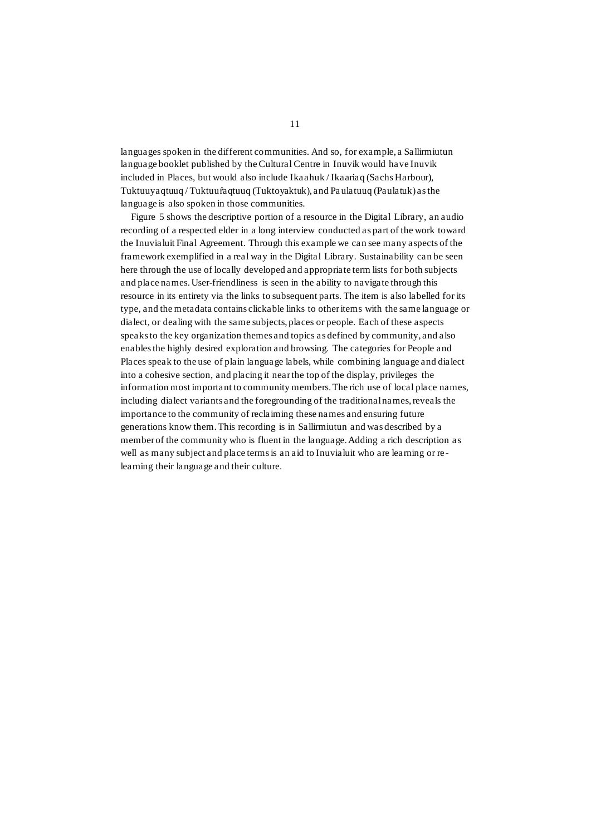languages spoken in the different communities. And so, for example, a Sallirmiutun language booklet published by the Cultural Centre in Inuvik would have Inuvik included in Places, but would also include Ikaahuk / Ikaariaq (Sachs Harbour), Tuktuuyaqtuuq / Tuktuur̂aqtuuq (Tuktoyaktuk), and Pa ulatuuq (Paulatuk) as the language is also spoken in those communities.

Figure 5 shows the descriptive portion of a resource in the Digital Library, an audio recording of a respected elder in a long interview conducted as part of the work toward the Inuvialuit Final Agreement. Through this example we can see many aspects of the framework exemplified in a real way in the Digital Library. Sustainability can be seen here through the use of locally developed and appropriate term lists for both subjects and place names. User-friendliness is seen in the ability to navigate through this resource in its entirety via the links to subsequent parts. The item is also labelled for its type, and the metadata contains clickable links to other items with the same language or dialect, or dealing with the same subjects, places or people. Each of these aspects speaks to the key organization themes and topics as defined by community, and also enables the highly desired exploration and browsing. The categories for People and Places speak to the use of plain language labels, while combining language and dialect into a cohesive section, and placing it near the top of the display, privileges the information most important to community members. The rich use of local place names, including dialect variants and the foregrounding of the traditional names, reveals the importance to the community of reclaiming these names and ensuring future generations know them. This recording is in Sallirmiutun and was described by a member of the community who is fluent in the language. Adding a rich description as well as many subject and place terms is an aid to Inuvialuit who are learning or relearning their language and their culture.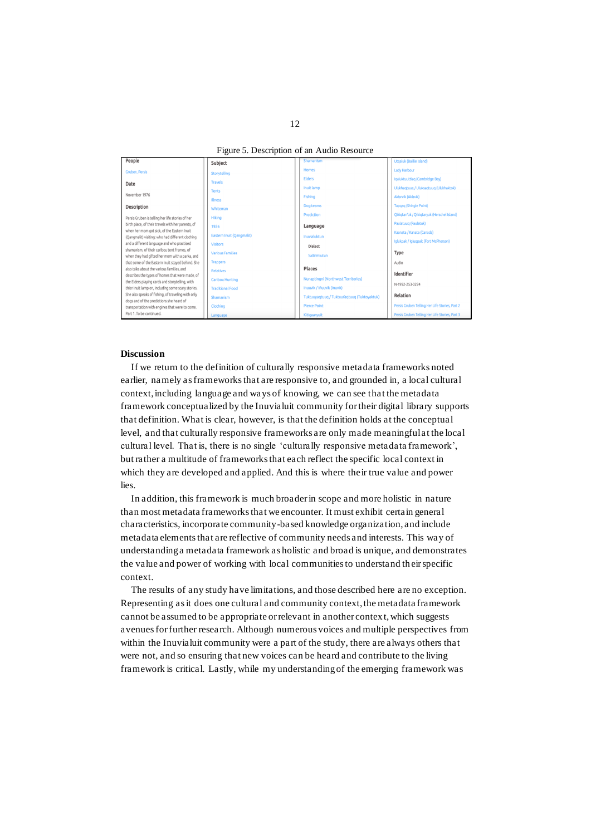Figure 5. Description of an Audio Resource

| People                                                                                                | Subject                   | Shamanism                                   | Utgaluk (Baillie Island)                       |
|-------------------------------------------------------------------------------------------------------|---------------------------|---------------------------------------------|------------------------------------------------|
| Gruben, Persis                                                                                        | Storytelling              | <b>Homes</b>                                | <b>Lady Harbour</b>                            |
| Date                                                                                                  | <b>Travels</b>            | <b>Elders</b>                               | Igaluktuuttiag (Cambridge Bay)                 |
|                                                                                                       | <b>Tents</b>              | Inuit lamp                                  | Ulukhaqtuuq / Uluksaqtuuq (Ulukhaktok)         |
| November 1976                                                                                         | <b>Illness</b>            | Fishing                                     | Akłarvik (Aklavik)                             |
| Description                                                                                           | Whiteman                  | Dog teams                                   | Tapqaq (Shingle Point)                         |
| Persis Gruben is telling her life stories of her                                                      | Hiking                    | Prediction                                  | Qikiqtarr'uk / Qikiqtaryuk (Herschel Island)   |
| birth place, of their travels with her parents, of                                                    | 1926                      | Language                                    | Paulatuuq (Paulatuk)                           |
| when her mom got sick, of the Eastern Inuit                                                           | Eastern Inuit (Oangmalit) | Inuvialuktun                                | Kaanata / Kanata (Canada)                      |
| (Qangmalit) visiting: who had different clothing<br>and a different language and who practised        | <b>Visitors</b>           |                                             | Iglukpak / Igluqpait (Fort McPherson)          |
| shamanism, of their caribou tent frames, of                                                           | <b>Various Families</b>   | <b>Dialect</b>                              | Type                                           |
| when they had gifted her mom with a parka, and                                                        | <b>Trappers</b>           | Sallirmiutun                                |                                                |
| that some of the Eastern Inuit stayed behind. She<br>also talks about the various families, and       | <b>Relatives</b>          | Places                                      | Audio                                          |
| describes the types of homes that were made, of                                                       | <b>Caribou Hunting</b>    | Nunaptingni (Northwest Territories)         | Identifier                                     |
| the Elders playing cards and storytelling, with<br>thier Inuit lamp on, including some scary stories. | <b>Traditional Food</b>   | Inuuvik / Iñuuvik (Inuvik)                  | N-1992-253-0294                                |
| She also speaks of fishing, of traveling with only                                                    |                           |                                             | Relation                                       |
| dogs and of the predictions she heard of                                                              | Shamanism                 | Tuktuuyagtuug / Tuktuuragtuug (Tuktoyaktuk) |                                                |
| transportation with engines that were to come.<br>Part 1. To be continued.                            | Clothing                  | <b>Pierce Point</b>                         | Persis Gruben Telling Her Life Stories, Part 2 |
|                                                                                                       | Language                  | Kitigaarvuit                                | Persis Gruben Telling Her Life Stories, Part 3 |

## **Discussion**

If we return to the definition of culturally responsive metadata frameworks noted earlier, namely as frameworks that are responsive to, and grounded in, a local cultural context, including language and ways of knowing, we can see that the metadata framework conceptualized by the Inuvialuit community for their digital library supports that definition. What is clear, however, is that the definition holds at the conceptual level, and that culturally responsive frameworks are only made meaningful at the local cultural level. That is, there is no single 'culturally responsive metadata framework', but rather a multitude of frameworks that each reflect the specific local context in which they are developed and applied. And this is where their true value and power lies.

In addition, this framework is much broader in scope and more holistic in nature than most metadata frameworks that we encounter. It must exhibit certain general characteristics, incorporate community-based knowledge organization, and include metadata elements that are reflective of community needs and interests. This way of understanding a metadata framework as holistic and broad is unique, and demonstrates the value and power of working with local communities to understand their specific context.

The results of any study have limitations, and those described here are no exception. Representing as it does one cultural and community context, the metadata framework cannot be assumed to be appropriate or relevant in another context, which suggests avenues for further research. Although numerous voices and multiple perspectives from within the Inuvialuit community were a part of the study, there are always others that were not, and so ensuring that new voices can be heard and contribute to the living framework is critical. Lastly, while my understanding of the emerging framework was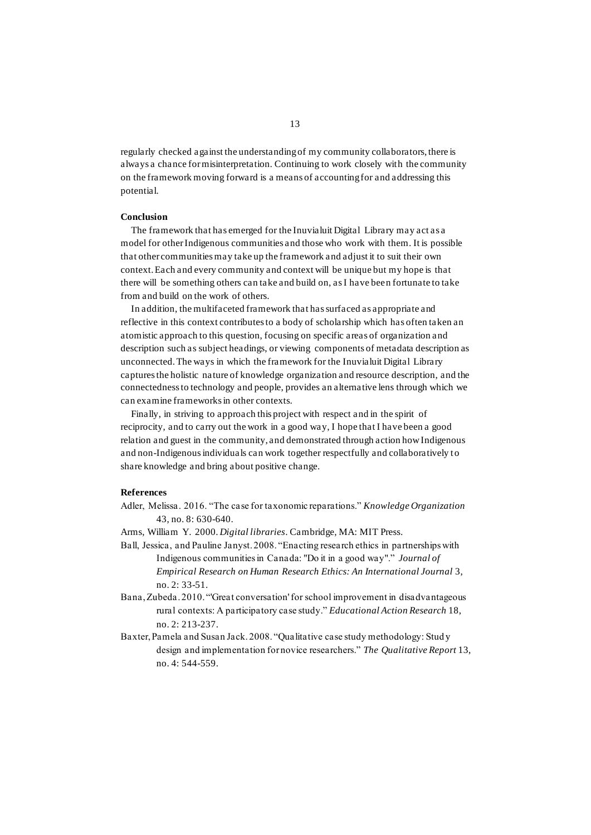regularly checked against the understanding of my community collaborators, there is always a chance for misinterpretation. Continuing to work closely with the community on the framework moving forward is a means of accounting for and addressing this potential.

#### **Conclusion**

The framework that has emerged for the Inuvialuit Digital Library may act as a model for other Indigenous communities and those who work with them. It is possible that other communities may take up the framework and adjust it to suit their own context. Each and every community and context will be unique but my hope is that there will be something others can take and build on, as I have been fortunate to take from and build on the work of others.

In addition, the multifaceted framework that has surfaced as appropriate and reflective in this context contributes to a body of scholarship which has often taken an atomistic approach to this question, focusing on specific areas of organization and description such as subject headings, or viewing components of metadata description as unconnected. The ways in which the framework for the Inuvialuit Digital Library captures the holistic nature of knowledge organization and resource description, and the connectedness to technology and people, provides an alternative lens through which we can examine frameworks in other contexts.

Finally, in striving to approach this project with respect and in the spirit of reciprocity, and to carry out the work in a good way, I hope that I have been a good relation and guest in the community, and demonstrated through action how Indigenous and non-Indigenous individuals can work together respectfully and collaboratively to share knowledge and bring about positive change.

# **References**

- Adler, Melissa. 2016. "The case for taxonomic reparations." *Knowledge Organization* 43, no. 8: 630-640.
- Arms, William Y. 2000. *Digital libraries*. Cambridge, MA: MIT Press.
- Ball, Jessica, and Pauline Janyst. 2008. "Enacting research ethics in partnerships with Indigenous communities in Canada: "Do it in a good way"." *Journal of Empirical Research on Human Research Ethics: An International Journal* 3, no. 2: 33-51.
- Bana, Zubeda. 2010. "'Great conversation' for school improvement in disadvantageous rural contexts: A participatory case study." *Educational Action Research* 18, no. 2: 213-237.
- Baxter, Pamela and Susan Jack. 2008. "Qualitative case study methodology: Stud y design and implementation for novice researchers." *The Qualitative Report* 13, no. 4: 544-559.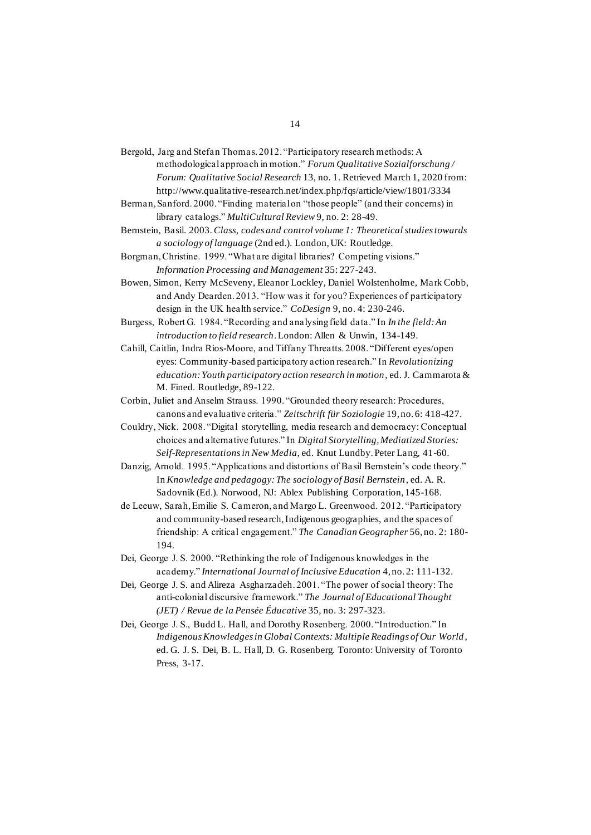- Bergold, Jarg and Stefan Thomas. 2012. "Participatory research methods: A methodological approach in motion." *Forum Qualitative Sozialforschung / Forum: Qualitative Social Research* 13, no. 1. Retrieved March 1, 2020 from: http://www.qualitative-research.net/index.php/fqs/article/view/1801/3334
- Berman, Sanford. 2000. "Finding material on "those people" (and their concerns) in library catalogs." *MultiCultural Review* 9, no. 2: 28-49.

Bernstein, Basil. 2003. *Class, codes and control volume 1: Theoretical studies towards a sociology of language* (2nd ed.). London, UK: Routledge.

Borgman, Christine. 1999. "What are digital libraries? Competing visions." *Information Processing and Management* 35: 227-243.

- Bowen, Simon, Kerry McSeveny, Eleanor Lockley, Daniel Wolstenholme, Mark Cobb, and Andy Dearden. 2013. "How was it for you? Experiences of participatory design in the UK health service." *CoDesign* 9, no. 4: 230-246.
- Burgess, Robert G. 1984. "Recording and analysing field data." In *In the field: An introduction to field research*. London: Allen & Unwin, 134-149.

Cahill, Caitlin, Indra Rios-Moore, and Tiffany Threatts. 2008. "Different eyes/open eyes: Community-based participatory action research." In *Revolutionizing education: Youth participatory action research in motion*, ed. J. Cammarota & M. Fined. Routledge, 89-122.

Corbin, Juliet and Anselm Strauss. 1990. "Grounded theory research: Procedures, canons and evaluative criteria." *Zeitschrift für Soziologie* 19, no. 6: 418-427.

Couldry, Nick. 2008. "Digital storytelling, media research and democracy: Conceptual choices and alternative futures." In *Digital Storytelling, Mediatized Stories: Self-Representations in New Media*, ed. Knut Lundby. Peter Lang, 41-60.

Danzig, Arnold. 1995. "Applications and distortions of Basil Bernstein's code theory." In *Knowledge and pedagogy: The sociology of Basil Bernstein*, ed. A. R. Sadovnik (Ed.). Norwood, NJ: Ablex Publishing Corporation, 145-168.

- de Leeuw, Sarah, Emilie S. Cameron, and Margo L. Greenwood. 2012. "Participatory and community-based research, Indigenous geographies, and the spaces of friendship: A critical engagement." *The Canadian Geographer* 56, no. 2: 180- 194.
- Dei, George J. S. 2000. "Rethinking the role of Indigenous knowledges in the academy." *International Journal of Inclusive Education* 4, no. 2: 111-132.
- Dei, George J. S. and Alireza Asgharzadeh. 2001. "The power of social theory: The anti-colonial discursive framework." *The Journal of Educational Thought (JET) / Revue de la Pensée Éducative* 35, no. 3: 297-323.
- Dei, George J. S., Budd L. Hall, and Dorothy Rosenberg. 2000. "Introduction." In *Indigenous Knowledges in Global Contexts: Multiple Readings of Our World* , ed. G. J. S. Dei, B. L. Hall, D. G. Rosenberg. Toronto: University of Toronto Press, 3-17.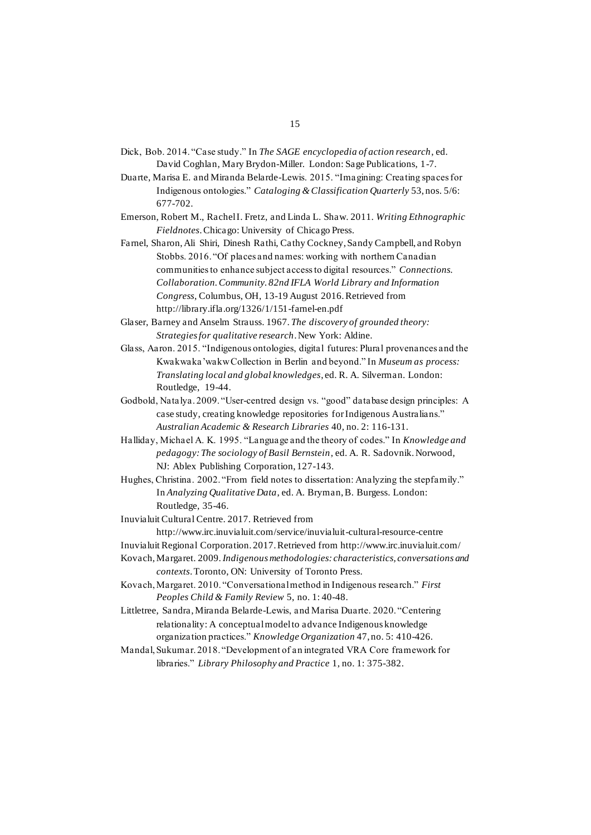- Dick, Bob. 2014. "Case study." In *The SAGE encyclopedia of action research*, ed. David Coghlan, Mary Brydon-Miller. London: Sage Publications, 1-7.
- Duarte, Marisa E. and Miranda Belarde-Lewis. 2015. "Imagining: Creating spaces for Indigenous ontologies." *Cataloging & Classification Quarterly* 53, nos. 5/6: 677-702.
- Emerson, Robert M., Rachel I. Fretz, and Linda L. Shaw. 2011. *Writing Ethnographic Fieldnotes*. Chicago: University of Chicago Press.
- Farnel, Sharon, Ali Shiri, Dinesh Rathi, Cathy Cockney, Sandy Campbell, and Robyn Stobbs. 2016. "Of places and names: working with northern Canadian communities to enhance subject access to digital resources." *Connections. Collaboration. Community. 82nd IFLA World Library and Information Congress*, Columbus, OH, 13-19 August 2016. Retrieved from http://library.ifla.org/1326/1/151-farnel-en.pdf
- Glaser, Barney and Anselm Strauss. 1967. *The discovery of grounded theory: Strategies for qualitative research*. New York: Aldine.
- Glass, Aaron. 2015. "Indigenous ontologies, digital futures: Plural provenances and the Kwakwaka'wakw Collection in Berlin and beyond." In *Museum as process: Translating local and global knowledges*, ed. R. A. Silverman. London: Routledge, 19-44.
- Godbold, Natalya. 2009. "User-centred design vs. "good" database design principles: A case study, creating knowledge repositories for Indigenous Australians." *Australian Academic & Research Libraries* 40, no. 2: 116-131.
- Halliday, Michael A. K. 1995. "Language and the theory of codes." In *Knowledge and pedagogy: The sociology of Basil Bernstein*, ed. A. R. Sadovnik. Norwood, NJ: Ablex Publishing Corporation, 127-143.
- Hughes, Christina. 2002. "From field notes to dissertation: Analyzing the stepfamily." In *Analyzing Qualitative Data*, ed. A. Bryman, B. Burgess. London: Routledge, 35-46.
- Inuvialuit Cultural Centre. 2017. Retrieved from http://www.irc.inuvialuit.com/service/inuvialuit-cultural-resource-centre
- Inuvialuit Regional Corporation. 2017. Retrieved from http://www.irc.inuvialuit.com/
- Kovach, Margaret. 2009. *Indigenous methodologies: characteristics, conversations and contexts*. Toronto, ON: University of Toronto Press.
- Kovach, Margaret. 2010. "Conversational method in Indigenous research." *First Peoples Child & Family Review* 5, no. 1: 40-48.
- Littletree, Sandra, Miranda Belarde-Lewis, and Marisa Duarte. 2020. "Centering relationality: A conceptual model to advance Indigenous knowledge organization practices." *Knowledge Organization* 47, no. 5: 410-426.
- Mandal, Sukumar. 2018. "Development of an integrated VRA Core framework for libraries." *Library Philosophy and Practice* 1, no. 1: 375-382.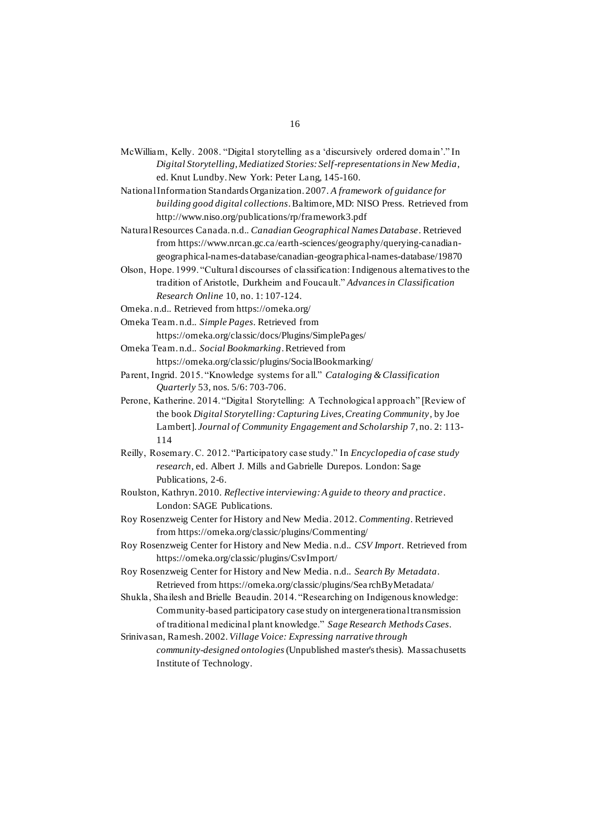- McWilliam, Kelly. 2008. "Digital storytelling as a 'discursively ordered domain'." In *Digital Storytelling, Mediatized Stories: Self-representations in New Media*, ed. Knut Lundby. New York: Peter Lang, 145-160.
- National Information Standards Organization. 2007. *A framework of guidance for building good digital collections*. Baltimore, MD: NISO Press. Retrieved from http://www.niso.org/publications/rp/framework3.pdf

Natural Resources Canada. n.d.. *Canadian Geographical Names Database*. Retrieved from https://www.nrcan.gc.ca/earth-sciences/geography/querying-canadiangeographical-names-database/canadian-geographical-names-database/19870

Olson, Hope. 1999. "Cultural discourses of classification: Indigenous alternatives to the tradition of Aristotle, Durkheim and Foucault." *Advances in Classification Research Online* 10, no. 1: 107-124.

Omeka. n.d.. Retrieved from https://omeka.org/

Omeka Team. n.d.. *Simple Pages*. Retrieved from

https://omeka.org/classic/docs/Plugins/SimplePages/

- Omeka Team. n.d.. *Social Bookmarking*. Retrieved from https://omeka.org/classic/plugins/SocialBookmarking/
- Parent, Ingrid. 2015. "Knowledge systems for all." *Cataloging & Classification Quarterly* 53, nos. 5/6: 703-706.
- Perone, Katherine. 2014. "Digital Storytelling: A Technological approach" [Review of the book *Digital Storytelling: Capturing Lives, Creating Community*, by Joe Lambert]. *Journal of Community Engagement and Scholarship* 7, no. 2: 113- 114
- Reilly, Rosemary. C. 2012. "Participatory case study." In *Encyclopedia of case study research*, ed. Albert J. Mills and Gabrielle Durepos. London: Sage Publications, 2-6.
- Roulston, Kathryn. 2010. *Reflective interviewing: A guide to theory and practice*. London: SAGE Publications.
- Roy Rosenzweig Center for History and New Media. 2012. *Commenting*. Retrieved from https://omeka.org/classic/plugins/Commenting/
- Roy Rosenzweig Center for History and New Media. n.d.. *CSV Import*. Retrieved from https://omeka.org/classic/plugins/CsvImport/
- Roy Rosenzweig Center for History and New Media. n.d.. *Search By Metadata*. Retrieved from https://omeka.org/classic/plugins/Sea rchByMetadata/
- Shukla, Shailesh and Brielle Beaudin. 2014. "Researching on Indigenous knowledge: Community-based participatory case study on intergenerational transmission of traditional medicinal plant knowledge." *Sage Research Methods Cases*.
- Srinivasan, Ramesh. 2002. *Village Voice: Expressing narrative through community-designed ontologies*(Unpublished master's thesis). Massachusetts Institute of Technology.